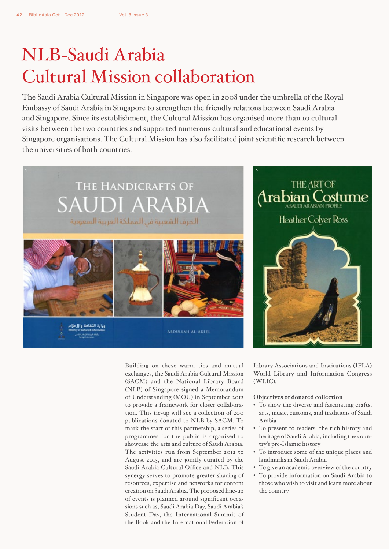## NLB-Saudi Arabia Cultural Mission collaboration

The Saudi Arabia Cultural Mission in Singapore was open in 2008 under the umbrella of the Royal Embassy of Saudi Arabia in Singapore to strengthen the friendly relations between Saudi Arabia and Singapore. Since its establishment, the Cultural Mission has organised more than 10 cultural visits between the two countries and supported numerous cultural and educational events by Singapore organisations. The Cultural Mission has also facilitated joint scientific research between the universities of both countries.



وزارة الثقافة والإملام وكالله البرارة للإيمانية

> Building on these warm ties and mutual exchanges, the Saudi Arabia Cultural Mission (SACM) and the National Library Board (NLB) of Singapore signed a Memorandum of Understanding (MOU) in September 2012 to provide a framework for closer collaboration. This tie-up will see a collection of 200 publications donated to NLB by SACM. To mark the start of this partnership, a series of programmes for the public is organised to showcase the arts and culture of Saudi Arabia. The activities run from September 2012 to August 2013, and are jointly curated by the Saudi Arabia Cultural Office and NLB. This synergy serves to promote greater sharing of resources, expertise and networks for content creation on Saudi Arabia. The proposed line-up of events is planned around significant occasions such as, Saudi Arabia Day, Saudi Arabia's Student Day, the International Summit of the Book and the International Federation of

**ABDULLAH AL-AKEEL** 

THE ART OF Arabian Costume **Heather Colver Ross** 

Library Associations and Institutions (IFLA) World Library and Information Congress (WLIC).

## **Objectives of donated collection**

- To show the diverse and fascinating crafts, arts, music, customs, and traditions of Saudi Arabia
- To present to readers the rich history and heritage of Saudi Arabia, including the country's pre-Islamic history
- To introduce some of the unique places and landmarks in Saudi Arabia
- To give an academic overview of the country
- To provide information on Saudi Arabia to those who wish to visit and learn more about the country